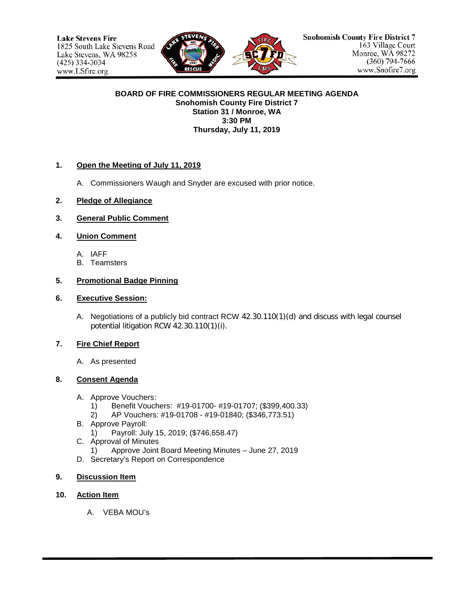

#### **BOARD OF FIRE COMMISSIONERS REGULAR MEETING AGENDA Snohomish County Fire District 7 Station 31 / Monroe, WA 3:30 PM Thursday, July 11, 2019**

### **1. Open the Meeting of July 11, 2019**

- A. Commissioners Waugh and Snyder are excused with prior notice.
- **2. Pledge of Allegiance**
- **3. General Public Comment**

## **4. Union Comment**

- A. IAFF
- B. Teamsters

## **5. Promotional Badge Pinning**

### **6. Executive Session:**

A. Negotiations of a publicly bid contract RCW 42.30.110(1)(d) and discuss with legal counsel potential litigation RCW 42.30.110(1)(i).

# **7. Fire Chief Report**

A. As presented

### **8. Consent Agenda**

- A. Approve Vouchers:
	- 1) Benefit Vouchers: #19-01700- #19-01707; (\$399,400.33)
	- 2) AP Vouchers: #19-01708 #19-01840; (\$346,773.51)
- B. Approve Payroll:
	- 1) Payroll: July 15, 2019; (\$746,658.47)
- C. Approval of Minutes
	- 1) Approve Joint Board Meeting Minutes June 27, 2019
- D. Secretary's Report on Correspondence

### **9. Discussion Item**

### **10. Action Item**

A. VEBA MOU's